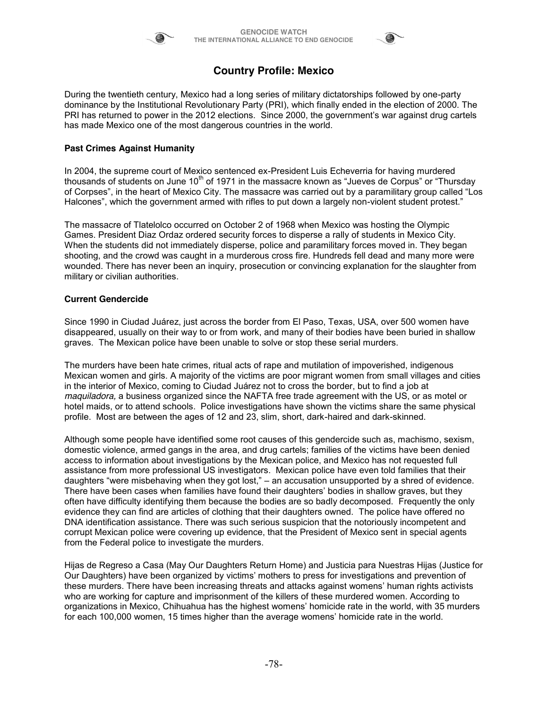



# **Country Profile: Mexico**

During the twentieth century, Mexico had a long series of military dictatorships followed by one-party dominance by the Institutional Revolutionary Party (PRI), which finally ended in the election of 2000. The PRI has returned to power in the 2012 elections. Since 2000, the government's war against drug cartels has made Mexico one of the most dangerous countries in the world.

## **Past Crimes Against Humanity**

In 2004, the supreme court of Mexico sentenced ex-President Luis Echeverria for having murdered thousands of students on June  $10<sup>th</sup>$  of 1971 in the massacre known as "Jueves de Corpus" or "Thursday of Corpses", in the heart of Mexico City. The massacre was carried out by a paramilitary group called "Los Halcones", which the government armed with rifles to put down a largely non-violent student protest."

The massacre of Tlatelolco occurred on October 2 of 1968 when Mexico was hosting the Olympic Games. President Diaz Ordaz ordered security forces to disperse a rally of students in Mexico City. When the students did not immediately disperse, police and paramilitary forces moved in. They began shooting, and the crowd was caught in a murderous cross fire. Hundreds fell dead and many more were wounded. There has never been an inquiry, prosecution or convincing explanation for the slaughter from military or civilian authorities.

### **Current Gendercide**

Since 1990 in Ciudad Juárez, just across the border from El Paso, Texas, USA, over 500 women have disappeared, usually on their way to or from work, and many of their bodies have been buried in shallow graves. The Mexican police have been unable to solve or stop these serial murders.

The murders have been hate crimes, ritual acts of rape and mutilation of impoverished, indigenous Mexican women and girls. A majority of the victims are poor migrant women from small villages and cities in the interior of Mexico, coming to Ciudad Juárez not to cross the border, but to find a job at *maquiladora,* a business organized since the NAFTA free trade agreement with the US, or as motel or hotel maids, or to attend schools. Police investigations have shown the victims share the same physical profile. Most are between the ages of 12 and 23, slim, short, dark-haired and dark-skinned.

Although some people have identified some root causes of this gendercide such as, machismo, sexism, domestic violence, armed gangs in the area, and drug cartels; families of the victims have been denied access to information about investigations by the Mexican police, and Mexico has not requested full assistance from more professional US investigators. Mexican police have even told families that their daughters "were misbehaving when they got lost," – an accusation unsupported by a shred of evidence. There have been cases when families have found their daughters' bodies in shallow graves, but they often have difficulty identifying them because the bodies are so badly decomposed. Frequently the only evidence they can find are articles of clothing that their daughters owned. The police have offered no DNA identification assistance. There was such serious suspicion that the notoriously incompetent and corrupt Mexican police were covering up evidence, that the President of Mexico sent in special agents from the Federal police to investigate the murders.

Hijas de Regreso a Casa (May Our Daughters Return Home) and Justicia para Nuestras Hijas (Justice for Our Daughters) have been organized by victims' mothers to press for investigations and prevention of these murders. There have been increasing threats and attacks against womens' human rights activists who are working for capture and imprisonment of the killers of these murdered women. According to organizations in Mexico, Chihuahua has the highest womens' homicide rate in the world, with 35 murders for each 100,000 women, 15 times higher than the average womens' homicide rate in the world.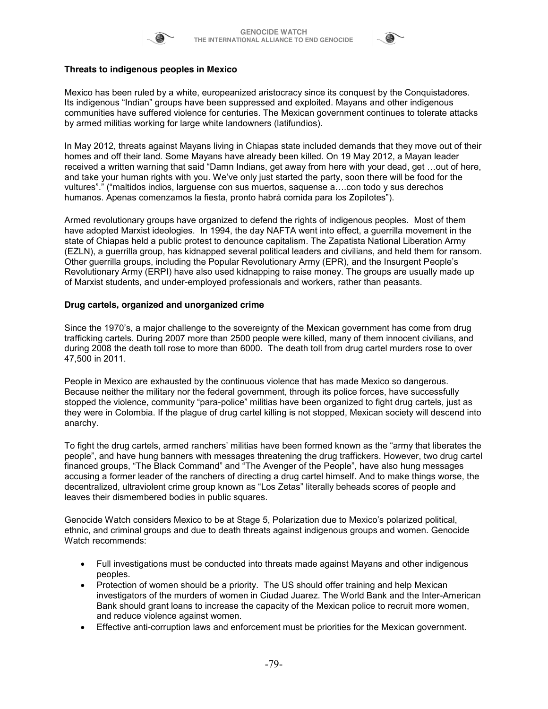



# **Threats to indigenous peoples in Mexico**

Mexico has been ruled by a white, europeanized aristocracy since its conquest by the Conquistadores. Its indigenous "Indian" groups have been suppressed and exploited. Mayans and other indigenous communities have suffered violence for centuries. The Mexican government continues to tolerate attacks by armed militias working for large white landowners (latifundios).

In May 2012, threats against Mayans living in Chiapas state included demands that they move out of their homes and off their land. Some Mayans have already been killed. On 19 May 2012, a Mayan leader received a written warning that said "Damn Indians, get away from here with your dead, get …out of here, and take your human rights with you. We've only just started the party, soon there will be food for the vultures"." ("maltidos indios, larguense con sus muertos, saquense a….con todo y sus derechos humanos. Apenas comenzamos la fiesta, pronto habrá comida para los Zopilotes").

Armed revolutionary groups have organized to defend the rights of indigenous peoples. Most of them have adopted Marxist ideologies. In 1994, the day NAFTA went into effect, a guerrilla movement in the state of Chiapas held a public protest to denounce capitalism. The Zapatista National Liberation Army (EZLN), a guerrilla group, has kidnapped several political leaders and civilians, and held them for ransom. Other guerrilla groups, including the Popular Revolutionary Army (EPR), and the Insurgent People's Revolutionary Army (ERPI) have also used kidnapping to raise money. The groups are usually made up of Marxist students, and under-employed professionals and workers, rather than peasants.

#### **Drug cartels, organized and unorganized crime**

Since the 1970's, a major challenge to the sovereignty of the Mexican government has come from drug trafficking cartels. During 2007 more than 2500 people were killed, many of them innocent civilians, and during 2008 the death toll rose to more than 6000. The death toll from drug cartel murders rose to over 47,500 in 2011.

People in Mexico are exhausted by the continuous violence that has made Mexico so dangerous. Because neither the military nor the federal government, through its police forces, have successfully stopped the violence, community "para-police" militias have been organized to fight drug cartels, just as they were in Colombia. If the plague of drug cartel killing is not stopped, Mexican society will descend into anarchy.

To fight the drug cartels, armed ranchers' militias have been formed known as the "army that liberates the people", and have hung banners with messages threatening the drug traffickers. However, two drug cartel financed groups, "The Black Command" and "The Avenger of the People", have also hung messages accusing a former leader of the ranchers of directing a drug cartel himself. And to make things worse, the decentralized, ultraviolent crime group known as "Los Zetas" literally beheads scores of people and leaves their dismembered bodies in public squares.

Genocide Watch considers Mexico to be at Stage 5, Polarization due to Mexico's polarized political, ethnic, and criminal groups and due to death threats against indigenous groups and women. Genocide Watch recommends:

- Full investigations must be conducted into threats made against Mayans and other indigenous peoples.
- Protection of women should be a priority. The US should offer training and help Mexican investigators of the murders of women in Ciudad Juarez. The World Bank and the Inter-American Bank should grant loans to increase the capacity of the Mexican police to recruit more women, and reduce violence against women.
- Effective anti-corruption laws and enforcement must be priorities for the Mexican government.